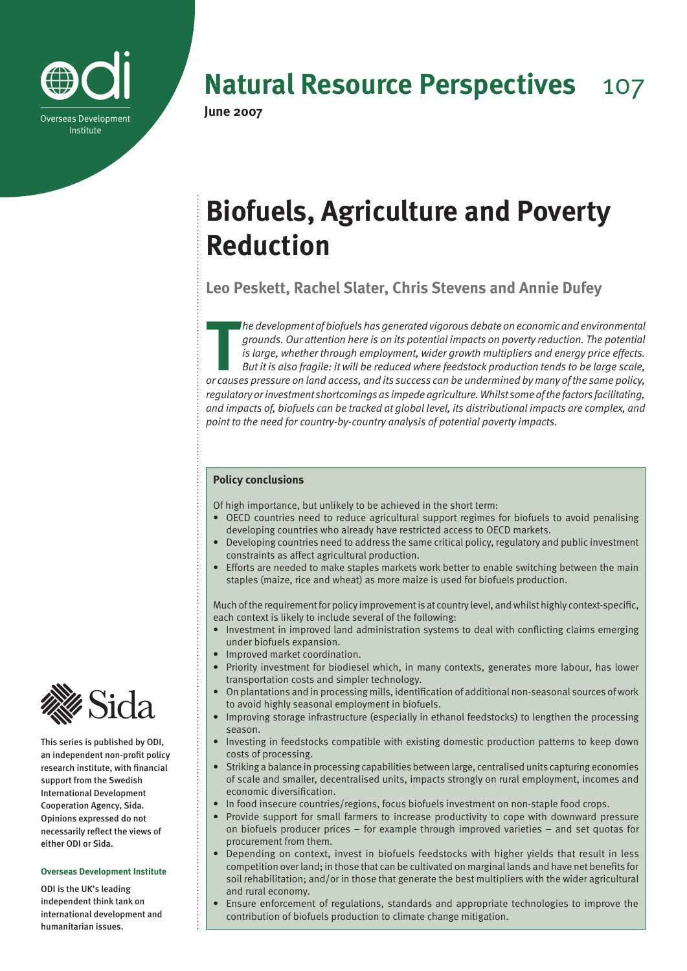

**Natural Resource Perspectives** 107

# **Biofuels, Agriculture and Poverty Reduction**

**Leo Peskett, Rachel Slater, Chris Stevens and Annie Dufey**

**The development of biofuels has generated vigorous debate on economic and environmental grounds. Our attention here is on its potential impacts on poverty reduction. The potential is large, whether through employment, wid** *he development of biofuels has generated vigorous debate on economic and environmental grounds. Our attention here is on its potential impacts on poverty reduction. The potential is large, whether through employment, wider growth multipliers and energy price effects. But it is also fragile: it will be reduced where feedstock production tends to be large scale, regulatory or investment shortcomings as impede agriculture. Whilst some of the factors facilitating, and impacts of, biofuels can be tracked at global level, its distributional impacts are complex, and point to the need for country-by-country analysis of potential poverty impacts.*

# **Policy conclusions**

Of high importance, but unlikely to be achieved in the short term:

- OECD countries need to reduce agricultural support regimes for biofuels to avoid penalising developing countries who already have restricted access to OECD markets.
- Developing countries need to address the same critical policy, regulatory and public investment constraints as affect agricultural production.
- Efforts are needed to make staples markets work better to enable switching between the main staples (maize, rice and wheat) as more maize is used for biofuels production.

Much of the requirement for policy improvement is at country level, and whilst highly context-specific, each context is likely to include several of the following:

- Investment in improved land administration systems to deal with conflicting claims emerging under biofuels expansion.
- Improved market coordination.
- Priority investment for biodiesel which, in many contexts, generates more labour, has lower transportation costs and simpler technology.
- On plantations and in processing mills, identification of additional non-seasonal sources of work to avoid highly seasonal employment in biofuels.
- Improving storage infrastructure (especially in ethanol feedstocks) to lengthen the processing season.
- Investing in feedstocks compatible with existing domestic production patterns to keep down costs of processing.
- Striking a balance in processing capabilities between large, centralised units capturing economies of scale and smaller, decentralised units, impacts strongly on rural employment, incomes and economic diversification.
- In food insecure countries/regions, focus biofuels investment on non-staple food crops.
- Provide support for small farmers to increase productivity to cope with downward pressure on biofuels producer prices – for example through improved varieties – and set quotas for procurement from them.
- Depending on context, invest in biofuels feedstocks with higher yields that result in less competition over land; in those that can be cultivated on marginal lands and have net benefits for soil rehabilitation; and/or in those that generate the best multipliers with the wider agricultural and rural economy.
- Ensure enforcement of regulations, standards and appropriate technologies to improve the contribution of biofuels production to climate change mitigation.



This series is published by ODI, an independent non-profit policy research institute, with financial support from the Swedish International Development Cooperation Agency, Sida. Opinions expressed do not necessarily reflect the views of either ODI or Sida.

## **Overseas Development Institute**

ODI is the UK's leading independent think tank on international development and humanitarian issues.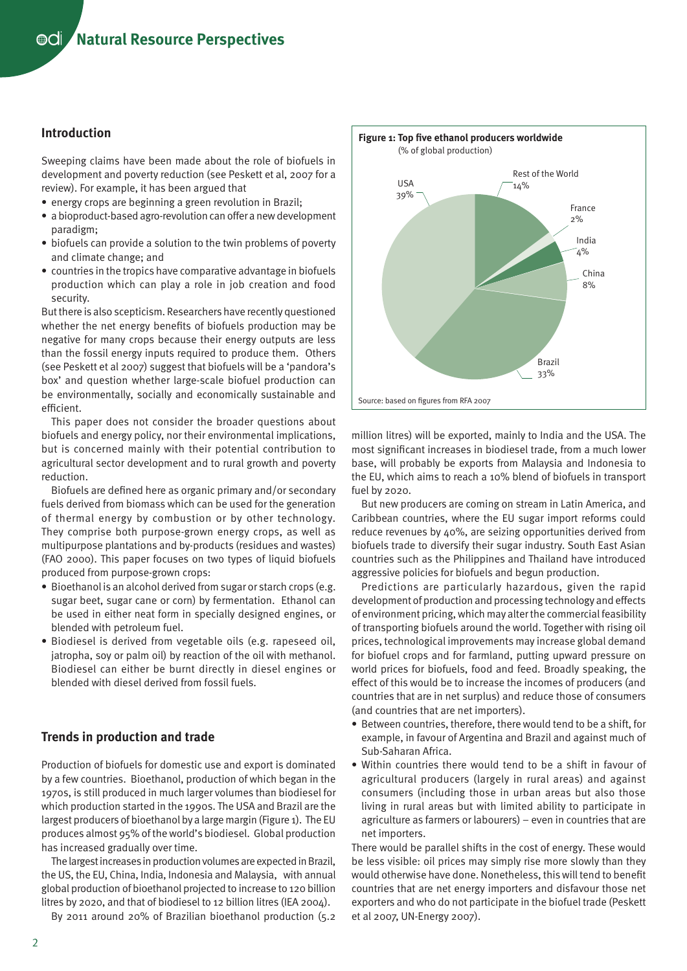# **Introduction**

Sweeping claims have been made about the role of biofuels in development and poverty reduction (see Peskett et al, 2007 for a review). For example, it has been argued that

- energy crops are beginning a green revolution in Brazil;
- a bioproduct-based agro-revolution can offer a new development paradigm;
- biofuels can provide a solution to the twin problems of poverty and climate change; and
- countries in the tropics have comparative advantage in biofuels production which can play a role in job creation and food security.

But there is also scepticism. Researchers have recently questioned whether the net energy benefits of biofuels production may be negative for many crops because their energy outputs are less than the fossil energy inputs required to produce them. Others (see Peskett et al 2007) suggest that biofuels will be a 'pandora's box' and question whether large-scale biofuel production can be environmentally, socially and economically sustainable and efficient.

This paper does not consider the broader questions about biofuels and energy policy, nor their environmental implications, but is concerned mainly with their potential contribution to agricultural sector development and to rural growth and poverty reduction.

Biofuels are defined here as organic primary and/or secondary fuels derived from biomass which can be used for the generation of thermal energy by combustion or by other technology. They comprise both purpose-grown energy crops, as well as multipurpose plantations and by-products (residues and wastes) (FAO 2000). This paper focuses on two types of liquid biofuels produced from purpose-grown crops:

- Bioethanol is an alcohol derived from sugar or starch crops (e.g. sugar beet, sugar cane or corn) by fermentation. Ethanol can be used in either neat form in specially designed engines, or blended with petroleum fuel.
- Biodiesel is derived from vegetable oils (e.g. rapeseed oil, jatropha, soy or palm oil) by reaction of the oil with methanol. Biodiesel can either be burnt directly in diesel engines or blended with diesel derived from fossil fuels.

# **Trends in production and trade**

Production of biofuels for domestic use and export is dominated by a few countries. Bioethanol, production of which began in the 1970s, is still produced in much larger volumes than biodiesel for which production started in the 1990s. The USA and Brazil are the largest producers of bioethanol by a large margin (Figure 1). The EU produces almost 95% of the world's biodiesel. Global production has increased gradually over time.

The largest increases in production volumes are expected in Brazil, the US, the EU, China, India, Indonesia and Malaysia, with annual global production of bioethanol projected to increase to 120 billion litres by 2020, and that of biodiesel to 12 billion litres (IEA 2004).

By 2011 around 20% of Brazilian bioethanol production (5.2



million litres) will be exported, mainly to India and the USA. The most significant increases in biodiesel trade, from a much lower base, will probably be exports from Malaysia and Indonesia to the EU, which aims to reach a 10% blend of biofuels in transport fuel by 2020.

But new producers are coming on stream in Latin America, and Caribbean countries, where the EU sugar import reforms could reduce revenues by 40%, are seizing opportunities derived from biofuels trade to diversify their sugar industry. South East Asian countries such as the Philippines and Thailand have introduced aggressive policies for biofuels and begun production.

Predictions are particularly hazardous, given the rapid development of production and processing technology and effects of environment pricing, which may alter the commercial feasibility of transporting biofuels around the world. Together with rising oil prices, technological improvements may increase global demand for biofuel crops and for farmland, putting upward pressure on world prices for biofuels, food and feed. Broadly speaking, the effect of this would be to increase the incomes of producers (and countries that are in net surplus) and reduce those of consumers (and countries that are net importers).

- Between countries, therefore, there would tend to be a shift, for example, in favour of Argentina and Brazil and against much of Sub-Saharan Africa.
- Within countries there would tend to be a shift in favour of agricultural producers (largely in rural areas) and against consumers (including those in urban areas but also those living in rural areas but with limited ability to participate in agriculture as farmers or labourers) – even in countries that are net importers.

There would be parallel shifts in the cost of energy. These would be less visible: oil prices may simply rise more slowly than they would otherwise have done. Nonetheless, this will tend to benefit countries that are net energy importers and disfavour those net exporters and who do not participate in the biofuel trade (Peskett et al 2007, UN-Energy 2007).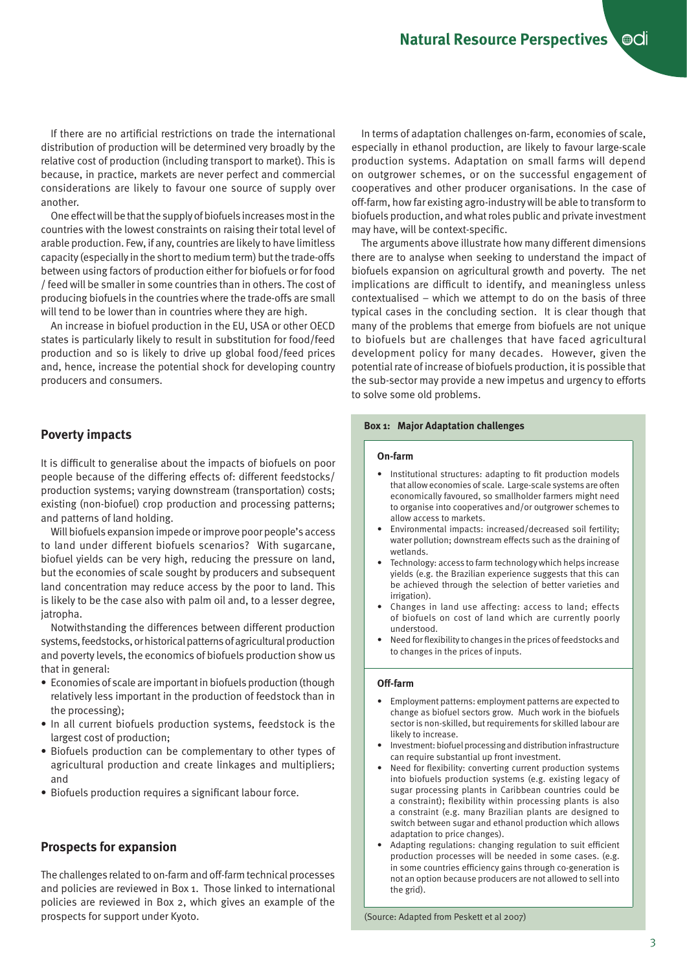If there are no artificial restrictions on trade the international distribution of production will be determined very broadly by the relative cost of production (including transport to market). This is because, in practice, markets are never perfect and commercial considerations are likely to favour one source of supply over another.

One effect will be that the supply of biofuels increases most in the countries with the lowest constraints on raising their total level of arable production. Few, if any, countries are likely to have limitless capacity (especially in the short to medium term) but the trade-offs between using factors of production either for biofuels or for food / feed will be smaller in some countries than in others. The cost of producing biofuels in the countries where the trade-offs are small will tend to be lower than in countries where they are high.

An increase in biofuel production in the EU, USA or other OECD states is particularly likely to result in substitution for food/feed production and so is likely to drive up global food/feed prices and, hence, increase the potential shock for developing country producers and consumers.

# **Poverty impacts**

It is difficult to generalise about the impacts of biofuels on poor people because of the differing effects of: different feedstocks/ production systems; varying downstream (transportation) costs; existing (non-biofuel) crop production and processing patterns; and patterns of land holding.

Will biofuels expansion impede or improve poor people's access to land under different biofuels scenarios? With sugarcane, biofuel yields can be very high, reducing the pressure on land, but the economies of scale sought by producers and subsequent land concentration may reduce access by the poor to land. This is likely to be the case also with palm oil and, to a lesser degree, jatropha.

Notwithstanding the differences between different production systems, feedstocks, or historical patterns of agricultural production and poverty levels, the economics of biofuels production show us that in general:

- Economies of scale are important in biofuels production (though relatively less important in the production of feedstock than in the processing);
- In all current biofuels production systems, feedstock is the largest cost of production;
- Biofuels production can be complementary to other types of agricultural production and create linkages and multipliers; and
- Biofuels production requires a significant labour force.

## **Prospects for expansion**

The challenges related to on-farm and off-farm technical processes and policies are reviewed in Box 1. Those linked to international policies are reviewed in Box 2, which gives an example of the prospects for support under Kyoto.

In terms of adaptation challenges on-farm, economies of scale, especially in ethanol production, are likely to favour large-scale production systems. Adaptation on small farms will depend on outgrower schemes, or on the successful engagement of cooperatives and other producer organisations. In the case of off-farm, how far existing agro-industry will be able to transform to biofuels production, and what roles public and private investment may have, will be context-specific.

The arguments above illustrate how many different dimensions there are to analyse when seeking to understand the impact of biofuels expansion on agricultural growth and poverty. The net implications are difficult to identify, and meaningless unless contextualised – which we attempt to do on the basis of three typical cases in the concluding section. It is clear though that many of the problems that emerge from biofuels are not unique to biofuels but are challenges that have faced agricultural development policy for many decades. However, given the potential rate of increase of biofuels production, it is possible that the sub-sector may provide a new impetus and urgency to efforts to solve some old problems.

#### **Box 1: Major Adaptation challenges**

#### **On-farm**

- Institutional structures: adapting to fit production models that allow economies of scale. Large-scale systems are often economically favoured, so smallholder farmers might need to organise into cooperatives and/or outgrower schemes to allow access to markets.
- Environmental impacts: increased/decreased soil fertility; water pollution; downstream effects such as the draining of wetlands.
- Technology: access to farm technology which helps increase yields (e.g. the Brazilian experience suggests that this can be achieved through the selection of better varieties and irrigation).
- Changes in land use affecting: access to land; effects of biofuels on cost of land which are currently poorly understood.
- Need for flexibility to changes in the prices of feedstocks and to changes in the prices of inputs.

#### **Off-farm**

- Employment patterns: employment patterns are expected to change as biofuel sectors grow. Much work in the biofuels sector is non-skilled, but requirements for skilled labour are likely to increase.
- Investment: biofuel processing and distribution infrastructure can require substantial up front investment.
- Need for flexibility: converting current production systems into biofuels production systems (e.g. existing legacy of sugar processing plants in Caribbean countries could be a constraint); flexibility within processing plants is also a constraint (e.g. many Brazilian plants are designed to switch between sugar and ethanol production which allows adaptation to price changes).
- Adapting regulations: changing regulation to suit efficient production processes will be needed in some cases. (e.g. in some countries efficiency gains through co-generation is not an option because producers are not allowed to sell into the grid).

(Source: Adapted from Peskett et al 2007)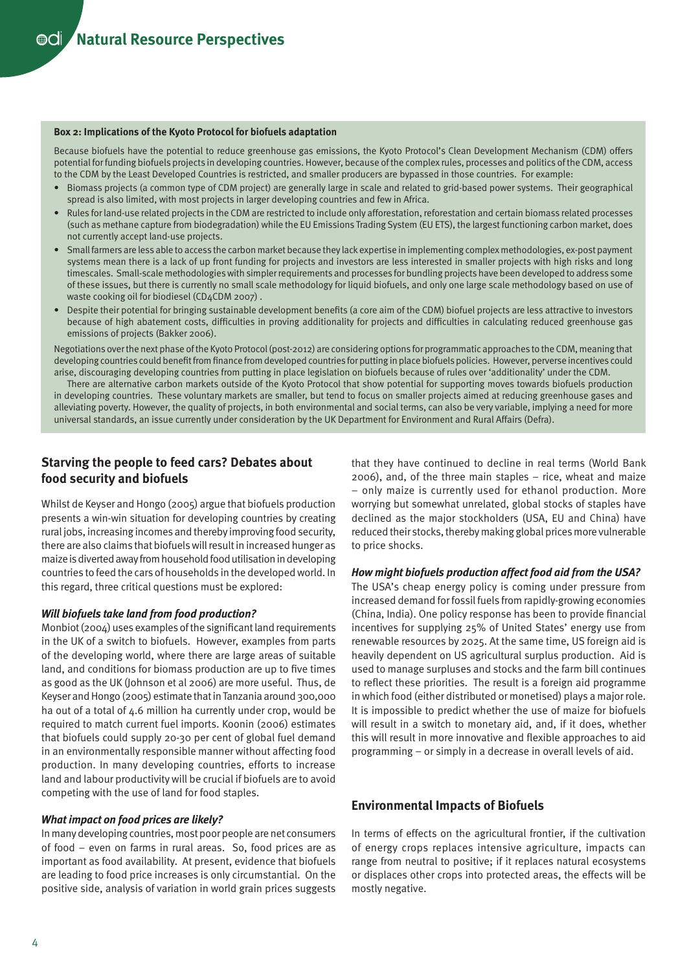#### **Box 2: Implications of the Kyoto Protocol for biofuels adaptation**

Because biofuels have the potential to reduce greenhouse gas emissions, the Kyoto Protocol's Clean Development Mechanism (CDM) offers potential for funding biofuels projects in developing countries. However, because of the complex rules, processes and politics of the CDM, access to the CDM by the Least Developed Countries is restricted, and smaller producers are bypassed in those countries. For example:

- Biomass projects (a common type of CDM project) are generally large in scale and related to grid-based power systems. Their geographical spread is also limited, with most projects in larger developing countries and few in Africa.
- Rules for land-use related projects in the CDM are restricted to include only afforestation, reforestation and certain biomass related processes (such as methane capture from biodegradation) while the EU Emissions Trading System (EU ETS), the largest functioning carbon market, does not currently accept land-use projects.
- Small farmers are less able to access the carbon market because they lack expertise in implementing complex methodologies, ex-post payment systems mean there is a lack of up front funding for projects and investors are less interested in smaller projects with high risks and long timescales. Small-scale methodologies with simpler requirements and processes for bundling projects have been developed to address some of these issues, but there is currently no small scale methodology for liquid biofuels, and only one large scale methodology based on use of waste cooking oil for biodiesel (CD4CDM 2007) .
- Despite their potential for bringing sustainable development benefits (a core aim of the CDM) biofuel projects are less attractive to investors because of high abatement costs, difficulties in proving additionality for projects and difficulties in calculating reduced greenhouse gas emissions of projects (Bakker 2006).

Negotiations over the next phase of the Kyoto Protocol (post-2012) are considering options for programmatic approaches to the CDM, meaning that developing countries could benefit from finance from developed countries for putting in place biofuels policies. However, perverse incentives could arise, discouraging developing countries from putting in place legislation on biofuels because of rules over 'additionality' under the CDM.

There are alternative carbon markets outside of the Kyoto Protocol that show potential for supporting moves towards biofuels production in developing countries. These voluntary markets are smaller, but tend to focus on smaller projects aimed at reducing greenhouse gases and alleviating poverty. However, the quality of projects, in both environmental and social terms, can also be very variable, implying a need for more universal standards, an issue currently under consideration by the UK Department for Environment and Rural Affairs (Defra).

# **Starving the people to feed cars? Debates about food security and biofuels**

Whilst de Keyser and Hongo (2005) argue that biofuels production presents a win-win situation for developing countries by creating rural jobs, increasing incomes and thereby improving food security, there are also claims that biofuels will result in increased hunger as maize is diverted away from household food utilisation in developing countries to feed the cars of households in the developed world. In this regard, three critical questions must be explored:

### *Will biofuels take land from food production?*

Monbiot (2004) uses examples of the significant land requirements in the UK of a switch to biofuels. However, examples from parts of the developing world, where there are large areas of suitable land, and conditions for biomass production are up to five times as good as the UK (Johnson et al 2006) are more useful. Thus, de Keyser and Hongo (2005) estimate that in Tanzania around 300,000 ha out of a total of 4.6 million ha currently under crop, would be required to match current fuel imports. Koonin (2006) estimates that biofuels could supply 20-30 per cent of global fuel demand in an environmentally responsible manner without affecting food production. In many developing countries, efforts to increase land and labour productivity will be crucial if biofuels are to avoid competing with the use of land for food staples.

### *What impact on food prices are likely?*

In many developing countries, most poor people are net consumers of food – even on farms in rural areas. So, food prices are as important as food availability. At present, evidence that biofuels are leading to food price increases is only circumstantial. On the positive side, analysis of variation in world grain prices suggests

that they have continued to decline in real terms (World Bank 2006), and, of the three main staples – rice, wheat and maize – only maize is currently used for ethanol production. More worrying but somewhat unrelated, global stocks of staples have declined as the major stockholders (USA, EU and China) have reduced their stocks, thereby making global prices more vulnerable to price shocks.

## *How might biofuels production affect food aid from the USA?*

The USA's cheap energy policy is coming under pressure from increased demand for fossil fuels from rapidly-growing economies (China, India). One policy response has been to provide financial incentives for supplying 25% of United States' energy use from renewable resources by 2025. At the same time, US foreign aid is heavily dependent on US agricultural surplus production. Aid is used to manage surpluses and stocks and the farm bill continues to reflect these priorities. The result is a foreign aid programme in which food (either distributed or monetised) plays a major role. It is impossible to predict whether the use of maize for biofuels will result in a switch to monetary aid, and, if it does, whether this will result in more innovative and flexible approaches to aid programming – or simply in a decrease in overall levels of aid.

## **Environmental Impacts of Biofuels**

In terms of effects on the agricultural frontier, if the cultivation of energy crops replaces intensive agriculture, impacts can range from neutral to positive; if it replaces natural ecosystems or displaces other crops into protected areas, the effects will be mostly negative.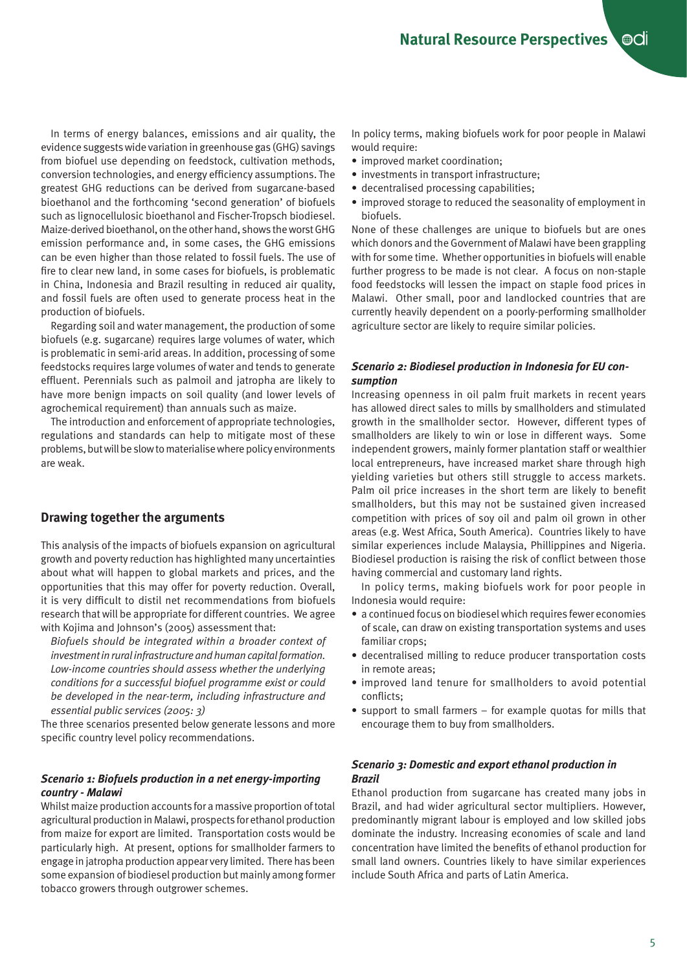In terms of energy balances, emissions and air quality, the evidence suggests wide variation in greenhouse gas (GHG) savings from biofuel use depending on feedstock, cultivation methods, conversion technologies, and energy efficiency assumptions. The greatest GHG reductions can be derived from sugarcane-based bioethanol and the forthcoming 'second generation' of biofuels such as lignocellulosic bioethanol and Fischer-Tropsch biodiesel. Maize-derived bioethanol, on the other hand, shows the worst GHG emission performance and, in some cases, the GHG emissions can be even higher than those related to fossil fuels. The use of fire to clear new land, in some cases for biofuels, is problematic in China, Indonesia and Brazil resulting in reduced air quality, and fossil fuels are often used to generate process heat in the production of biofuels.

Regarding soil and water management, the production of some biofuels (e.g. sugarcane) requires large volumes of water, which is problematic in semi-arid areas. In addition, processing of some feedstocks requires large volumes of water and tends to generate effluent. Perennials such as palmoil and jatropha are likely to have more benign impacts on soil quality (and lower levels of agrochemical requirement) than annuals such as maize.

The introduction and enforcement of appropriate technologies, regulations and standards can help to mitigate most of these problems, but will be slow to materialise where policy environments are weak.

# **Drawing together the arguments**

This analysis of the impacts of biofuels expansion on agricultural growth and poverty reduction has highlighted many uncertainties about what will happen to global markets and prices, and the opportunities that this may offer for poverty reduction. Overall, it is very difficult to distil net recommendations from biofuels research that will be appropriate for different countries. We agree with Kojima and Johnson's (2005) assessment that:

*Biofuels should be integrated within a broader context of investment in rural infrastructure and human capital formation. Low-income countries should assess whether the underlying conditions for a successful biofuel programme exist or could be developed in the near-term, including infrastructure and essential public services (2005: 3)*

The three scenarios presented below generate lessons and more specific country level policy recommendations.

## *Scenario 1: Biofuels production in a net energy-importing country - Malawi*

Whilst maize production accounts for a massive proportion of total agricultural production in Malawi, prospects for ethanol production from maize for export are limited. Transportation costs would be particularly high. At present, options for smallholder farmers to engage in jatropha production appear very limited. There has been some expansion of biodiesel production but mainly among former tobacco growers through outgrower schemes.

In policy terms, making biofuels work for poor people in Malawi would require:

- improved market coordination;
- investments in transport infrastructure;
- decentralised processing capabilities;
- improved storage to reduced the seasonality of employment in biofuels.

None of these challenges are unique to biofuels but are ones which donors and the Government of Malawi have been grappling with for some time. Whether opportunities in biofuels will enable further progress to be made is not clear. A focus on non-staple food feedstocks will lessen the impact on staple food prices in Malawi. Other small, poor and landlocked countries that are currently heavily dependent on a poorly-performing smallholder agriculture sector are likely to require similar policies.

## *Scenario 2: Biodiesel production in Indonesia for EU consumption*

Increasing openness in oil palm fruit markets in recent years has allowed direct sales to mills by smallholders and stimulated growth in the smallholder sector. However, different types of smallholders are likely to win or lose in different ways. Some independent growers, mainly former plantation staff or wealthier local entrepreneurs, have increased market share through high yielding varieties but others still struggle to access markets. Palm oil price increases in the short term are likely to benefit smallholders, but this may not be sustained given increased competition with prices of soy oil and palm oil grown in other areas (e.g. West Africa, South America). Countries likely to have similar experiences include Malaysia, Phillippines and Nigeria. Biodiesel production is raising the risk of conflict between those having commercial and customary land rights.

In policy terms, making biofuels work for poor people in Indonesia would require:

- a continued focus on biodiesel which requires fewer economies of scale, can draw on existing transportation systems and uses familiar crops;
- decentralised milling to reduce producer transportation costs in remote areas;
- improved land tenure for smallholders to avoid potential conflicts;
- support to small farmers for example quotas for mills that encourage them to buy from smallholders.

# *Scenario 3: Domestic and export ethanol production in Brazil*

Ethanol production from sugarcane has created many jobs in Brazil, and had wider agricultural sector multipliers. However, predominantly migrant labour is employed and low skilled jobs dominate the industry. Increasing economies of scale and land concentration have limited the benefits of ethanol production for small land owners. Countries likely to have similar experiences include South Africa and parts of Latin America.